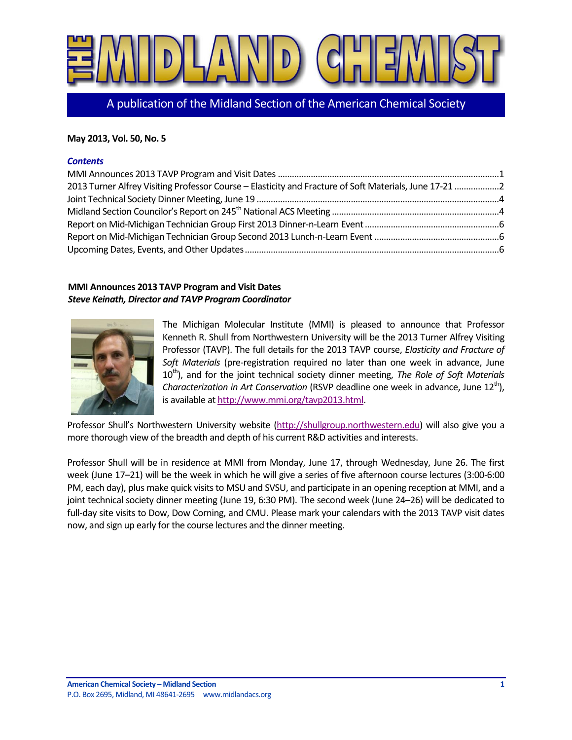

A publication of the Midland Section of the American Chemical Society

## **May 2013, Vol. 50, No. 5**

## *Contents*

| 2013 Turner Alfrey Visiting Professor Course - Elasticity and Fracture of Soft Materials, June 17-21 2 |  |
|--------------------------------------------------------------------------------------------------------|--|
|                                                                                                        |  |
|                                                                                                        |  |
|                                                                                                        |  |
|                                                                                                        |  |
|                                                                                                        |  |

# <span id="page-0-0"></span>**MMI Announces 2013 TAVP Program and Visit Dates** *Steve Keinath, Director and TAVP Program Coordinator*



The Michigan Molecular Institute (MMI) is pleased to announce that Professor Kenneth R. Shull from Northwestern University will be the 2013 Turner Alfrey Visiting Professor (TAVP). The full details for the 2013 TAVP course, *Elasticity and Fracture of Soft Materials* (pre-registration required no later than one week in advance, June 10<sup>th</sup>), and for the joint technical society dinner meeting, *The Role of Soft Materials Characterization in Art Conservation* (RSVP deadline one week in advance, June 12<sup>th</sup>), is available a[t http://www.mmi.org/tavp2013.html.](http://www.mmi.org/tavp2013.html)

Professor Shull's Northwestern University website [\(http://shullgroup.northwestern.edu\)](http://shullgroup.northwestern.edu/) will also give you a more thorough view of the breadth and depth of his current R&D activities and interests.

Professor Shull will be in residence at MMI from Monday, June 17, through Wednesday, June 26. The first week (June 17–21) will be the week in which he will give a series of five afternoon course lectures (3:00-6:00 PM, each day), plus make quick visits to MSU and SVSU, and participate in an opening reception at MMI, and a joint technical society dinner meeting (June 19, 6:30 PM). The second week (June 24–26) will be dedicated to full-day site visits to Dow, Dow Corning, and CMU. Please mark your calendars with the 2013 TAVP visit dates now, and sign up early for the course lectures and the dinner meeting.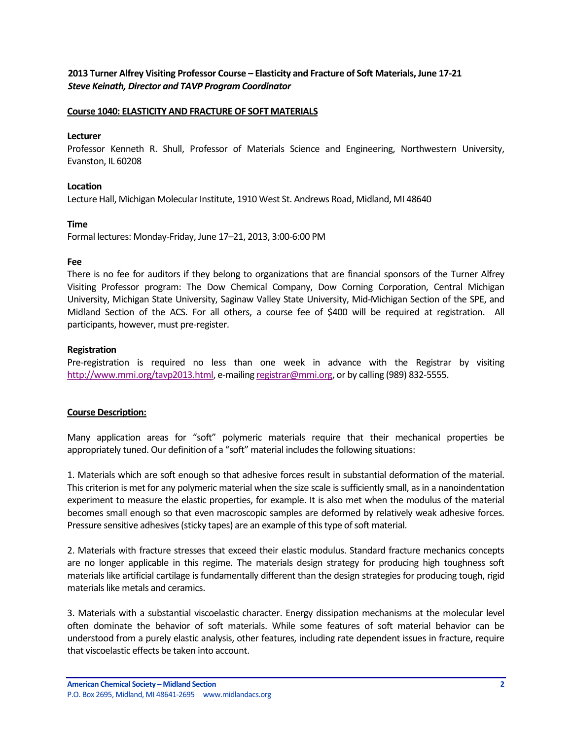<span id="page-1-0"></span>**2013 Turner Alfrey Visiting Professor Course – Elasticity and Fracture of Soft Materials, June 17-21** *Steve Keinath, Director and TAVP Program Coordinator*

#### **Course 1040: ELASTICITY AND FRACTURE OF SOFT MATERIALS**

#### **Lecturer**

Professor Kenneth R. Shull, Professor of Materials Science and Engineering, Northwestern University, Evanston, IL 60208

### **Location**

Lecture Hall, Michigan Molecular Institute, 1910 West St. Andrews Road, Midland, MI 48640

#### **Time**

Formal lectures: Monday-Friday, June 17–21, 2013, 3:00-6:00 PM

#### **Fee**

There is no fee for auditors if they belong to organizations that are financial sponsors of the Turner Alfrey Visiting Professor program: The Dow Chemical Company, Dow Corning Corporation, Central Michigan University, Michigan State University, Saginaw Valley State University, Mid-Michigan Section of the SPE, and Midland Section of the ACS. For all others, a course fee of \$400 will be required at registration. All participants, however, must pre-register.

### **Registration**

Pre-registration is required no less than one week in advance with the Registrar by visiting [http://www.mmi.org/tavp2013.html,](http://www.mmi.org/tavp2013.html) e-mailin[g registrar@mmi.org,](mailto:registrar@mmi.org) or by calling (989) 832-5555.

### **Course Description:**

Many application areas for "soft" polymeric materials require that their mechanical properties be appropriately tuned. Our definition of a "soft" material includes the following situations:

1. Materials which are soft enough so that adhesive forces result in substantial deformation of the material. This criterion is met for any polymeric material when the size scale is sufficiently small, as in a nanoindentation experiment to measure the elastic properties, for example. It is also met when the modulus of the material becomes small enough so that even macroscopic samples are deformed by relatively weak adhesive forces. Pressure sensitive adhesives (sticky tapes) are an example of this type of soft material.

2. Materials with fracture stresses that exceed their elastic modulus. Standard fracture mechanics concepts are no longer applicable in this regime. The materials design strategy for producing high toughness soft materials like artificial cartilage is fundamentally different than the design strategies for producing tough, rigid materials like metals and ceramics.

3. Materials with a substantial viscoelastic character. Energy dissipation mechanisms at the molecular level often dominate the behavior of soft materials. While some features of soft material behavior can be understood from a purely elastic analysis, other features, including rate dependent issues in fracture, require that viscoelastic effects be taken into account.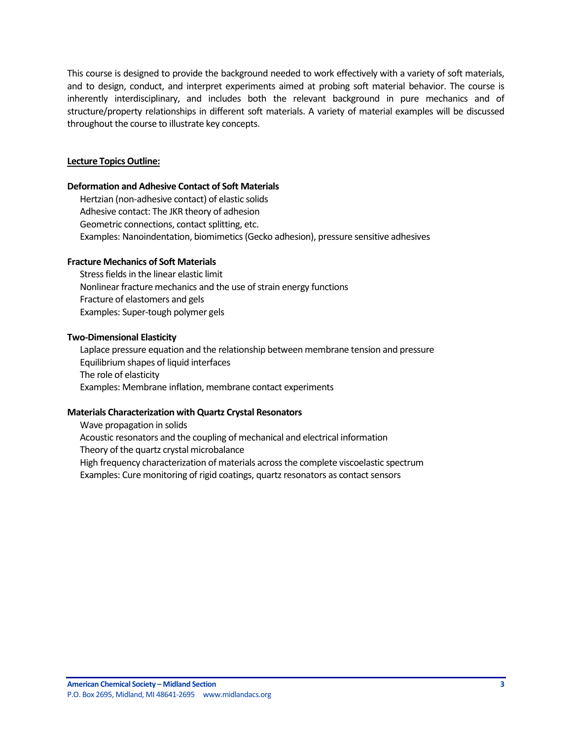This course is designed to provide the background needed to work effectively with a variety of soft materials, and to design, conduct, and interpret experiments aimed at probing soft material behavior. The course is inherently interdisciplinary, and includes both the relevant background in pure mechanics and of structure/property relationships in different soft materials. A variety of material examples will be discussed throughout the course to illustrate key concepts.

# **Lecture Topics Outline:**

## **Deformation and Adhesive Contact of Soft Materials**

Hertzian (non-adhesive contact) of elastic solids Adhesive contact: The JKR theory of adhesion Geometric connections, contact splitting, etc. Examples: Nanoindentation, biomimetics (Gecko adhesion), pressure sensitive adhesives

## **Fracture Mechanics of Soft Materials**

Stress fields in the linear elastic limit Nonlinear fracture mechanics and the use of strain energy functions Fracture of elastomers and gels Examples: Super-tough polymer gels

## **Two-Dimensional Elasticity**

Laplace pressure equation and the relationship between membrane tension and pressure Equilibrium shapes of liquid interfaces The role of elasticity Examples: Membrane inflation, membrane contact experiments

# **Materials Characterization with Quartz Crystal Resonators**

Wave propagation in solids Acoustic resonators and the coupling of mechanical and electrical information Theory of the quartz crystal microbalance High frequency characterization of materials across the complete viscoelastic spectrum Examples: Cure monitoring of rigid coatings, quartz resonators as contact sensors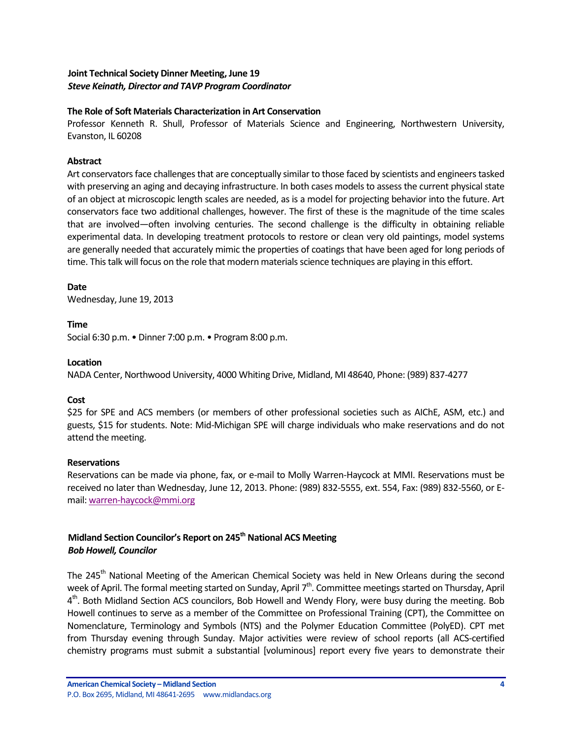# <span id="page-3-0"></span>**Joint Technical Society Dinner Meeting, June 19** *Steve Keinath, Director and TAVP Program Coordinator*

## **The Role of Soft Materials Characterization in Art Conservation**

Professor Kenneth R. Shull, Professor of Materials Science and Engineering, Northwestern University, Evanston, IL 60208

## **Abstract**

Art conservators face challenges that are conceptually similar to those faced by scientists and engineers tasked with preserving an aging and decaying infrastructure. In both cases models to assess the current physical state of an object at microscopic length scales are needed, as is a model for projecting behavior into the future. Art conservators face two additional challenges, however. The first of these is the magnitude of the time scales that are involved—often involving centuries. The second challenge is the difficulty in obtaining reliable experimental data. In developing treatment protocols to restore or clean very old paintings, model systems are generally needed that accurately mimic the properties of coatings that have been aged for long periods of time. This talk will focus on the role that modern materials science techniques are playing in this effort.

## **Date**

Wednesday, June 19, 2013

# **Time**

Social 6:30 p.m. • Dinner 7:00 p.m. • Program 8:00 p.m.

## **Location**

NADA Center, Northwood University, 4000 Whiting Drive, Midland, MI 48640, Phone: (989) 837-4277

# **Cost**

\$25 for SPE and ACS members (or members of other professional societies such as AIChE, ASM, etc.) and guests, \$15 for students. Note: Mid-Michigan SPE will charge individuals who make reservations and do not attend the meeting.

# **Reservations**

Reservations can be made via phone, fax, or e-mail to Molly Warren-Haycock at MMI. Reservations must be received no later than Wednesday, June 12, 2013. Phone: (989) 832-5555, ext. 554, Fax: (989) 832-5560, or Email: [warren-haycock@mmi.org](mailto:warren-haycock@mmi.org)

# <span id="page-3-1"></span>**Midland Section Councilor's Report on 245th National ACS Meeting** *Bob Howell, Councilor*

The 245<sup>th</sup> National Meeting of the American Chemical Society was held in New Orleans during the second week of April. The formal meeting started on Sunday, April 7<sup>th</sup>. Committee meetings started on Thursday, April 4<sup>th</sup>. Both Midland Section ACS councilors, Bob Howell and Wendy Flory, were busy during the meeting. Bob Howell continues to serve as a member of the Committee on Professional Training (CPT), the Committee on Nomenclature, Terminology and Symbols (NTS) and the Polymer Education Committee (PolyED). CPT met from Thursday evening through Sunday. Major activities were review of school reports (all ACS-certified chemistry programs must submit a substantial [voluminous] report every five years to demonstrate their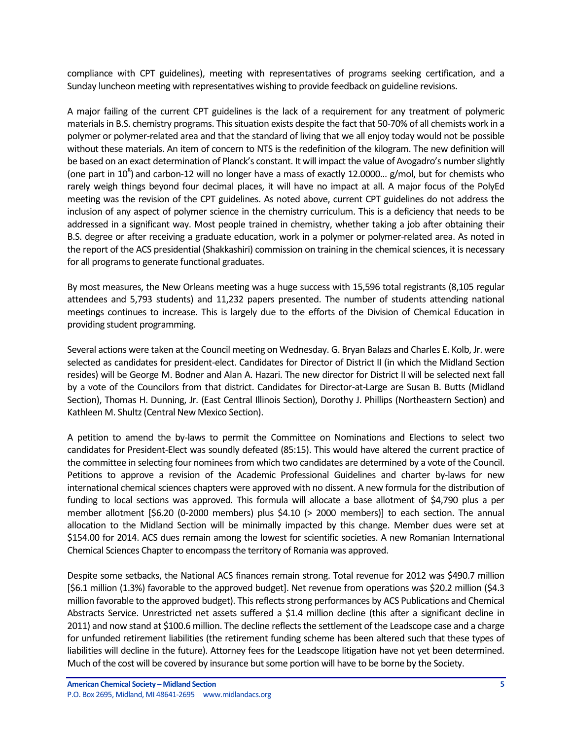compliance with CPT guidelines), meeting with representatives of programs seeking certification, and a Sunday luncheon meeting with representatives wishing to provide feedback on guideline revisions.

A major failing of the current CPT guidelines is the lack of a requirement for any treatment of polymeric materials in B.S. chemistry programs. This situation exists despite the fact that 50-70% of all chemists work in a polymer or polymer-related area and that the standard of living that we all enjoy today would not be possible without these materials. An item of concern to NTS is the redefinition of the kilogram. The new definition will be based on an exact determination of Planck's constant. It will impact the value of Avogadro's number slightly (one part in  $10^8$ ) and carbon-12 will no longer have a mass of exactly 12.0000... g/mol, but for chemists who rarely weigh things beyond four decimal places, it will have no impact at all. A major focus of the PolyEd meeting was the revision of the CPT guidelines. As noted above, current CPT guidelines do not address the inclusion of any aspect of polymer science in the chemistry curriculum. This is a deficiency that needs to be addressed in a significant way. Most people trained in chemistry, whether taking a job after obtaining their B.S. degree or after receiving a graduate education, work in a polymer or polymer-related area. As noted in the report of the ACS presidential (Shakkashiri) commission on training in the chemical sciences, it is necessary for all programs to generate functional graduates.

By most measures, the New Orleans meeting was a huge success with 15,596 total registrants (8,105 regular attendees and 5,793 students) and 11,232 papers presented. The number of students attending national meetings continues to increase. This is largely due to the efforts of the Division of Chemical Education in providing student programming.

Several actions were taken at the Council meeting on Wednesday. G. Bryan Balazs and Charles E. Kolb, Jr. were selected as candidates for president-elect. Candidates for Director of District II (in which the Midland Section resides) will be George M. Bodner and Alan A. Hazari. The new director for District II will be selected next fall by a vote of the Councilors from that district. Candidates for Director-at-Large are Susan B. Butts (Midland Section), Thomas H. Dunning, Jr. (East Central Illinois Section), Dorothy J. Phillips (Northeastern Section) and Kathleen M. Shultz (Central New Mexico Section).

A petition to amend the by-laws to permit the Committee on Nominations and Elections to select two candidates for President-Elect was soundly defeated (85:15). This would have altered the current practice of the committee in selecting four nominees from which two candidates are determined by a vote of the Council. Petitions to approve a revision of the Academic Professional Guidelines and charter by-laws for new international chemical sciences chapters were approved with no dissent. A new formula for the distribution of funding to local sections was approved. This formula will allocate a base allotment of \$4,790 plus a per member allotment [\$6.20 (0-2000 members) plus \$4.10 (> 2000 members)] to each section. The annual allocation to the Midland Section will be minimally impacted by this change. Member dues were set at \$154.00 for 2014. ACS dues remain among the lowest for scientific societies. A new Romanian International Chemical Sciences Chapter to encompass the territory of Romania was approved.

Despite some setbacks, the National ACS finances remain strong. Total revenue for 2012 was \$490.7 million [\$6.1 million (1.3%) favorable to the approved budget]. Net revenue from operations was \$20.2 million (\$4.3 million favorable to the approved budget). This reflects strong performances by ACS Publications and Chemical Abstracts Service. Unrestricted net assets suffered a \$1.4 million decline (this after a significant decline in 2011) and now stand at \$100.6 million. The decline reflects the settlement of the Leadscope case and a charge for unfunded retirement liabilities (the retirement funding scheme has been altered such that these types of liabilities will decline in the future). Attorney fees for the Leadscope litigation have not yet been determined. Much of the cost will be covered by insurance but some portion will have to be borne by the Society.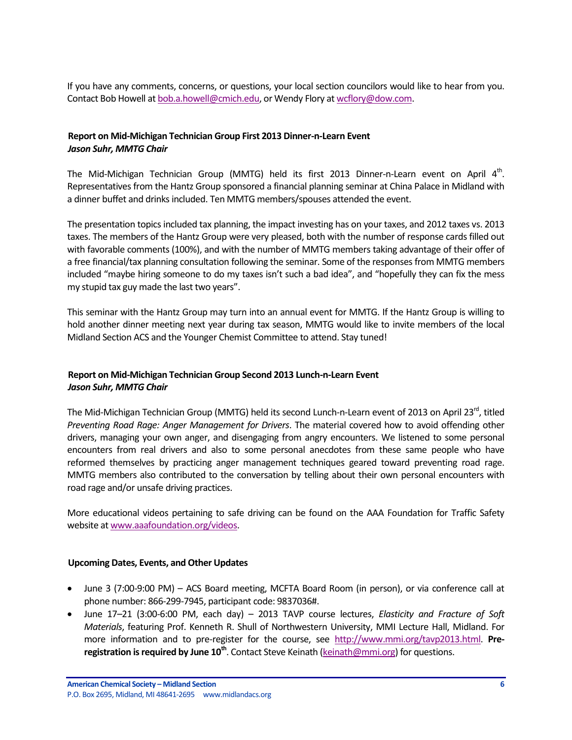If you have any comments, concerns, or questions, your local section councilors would like to hear from you. Contact Bob Howell a[t bob.a.howell@cmich.edu,](mailto:bob.a.howell@cmich.edu) or Wendy Flory a[t wcflory@dow.com.](mailto:wcflory@dow.com)

# <span id="page-5-0"></span>**Report on Mid-Michigan Technician Group First 2013 Dinner-n-Learn Event** *Jason Suhr, MMTG Chair*

The Mid-Michigan Technician Group (MMTG) held its first 2013 Dinner-n-Learn event on April  $4^{\text{th}}$ . Representatives from the Hantz Group sponsored a financial planning seminar at China Palace in Midland with a dinner buffet and drinks included. Ten MMTG members/spouses attended the event.

The presentation topics included tax planning, the impact investing has on your taxes, and 2012 taxes vs. 2013 taxes. The members of the Hantz Group were very pleased, both with the number of response cards filled out with favorable comments (100%), and with the number of MMTG members taking advantage of their offer of a free financial/tax planning consultation following the seminar. Some of the responses from MMTG members included "maybe hiring someone to do my taxes isn't such a bad idea", and "hopefully they can fix the mess my stupid tax guy made the last two years".

This seminar with the Hantz Group may turn into an annual event for MMTG. If the Hantz Group is willing to hold another dinner meeting next year during tax season, MMTG would like to invite members of the local Midland Section ACS and the Younger Chemist Committee to attend. Stay tuned!

# <span id="page-5-1"></span>**Report on Mid-Michigan Technician Group Second 2013 Lunch-n-Learn Event** *Jason Suhr, MMTG Chair*

The Mid-Michigan Technician Group (MMTG) held its second Lunch-n-Learn event of 2013 on April 23<sup>rd</sup>, titled *Preventing Road Rage: Anger Management for Drivers*. The material covered how to avoid offending other drivers, managing your own anger, and disengaging from angry encounters. We listened to some personal encounters from real drivers and also to some personal anecdotes from these same people who have reformed themselves by practicing anger management techniques geared toward preventing road rage. MMTG members also contributed to the conversation by telling about their own personal encounters with road rage and/or unsafe driving practices.

More educational videos pertaining to safe driving can be found on the AAA Foundation for Traffic Safety website a[t www.aaafoundation.org/videos.](https://www.aaafoundation.org/videos)

# <span id="page-5-2"></span>**Upcoming Dates, Events, and Other Updates**

- June 3 (7:00-9:00 PM) ACS Board meeting, MCFTA Board Room (in person), or via conference call at phone number: 866-299-7945, participant code: 9837036#.
- June 17–21 (3:00-6:00 PM, each day) 2013 TAVP course lectures, *Elasticity and Fracture of Soft Materials*, featuring Prof. Kenneth R. Shull of Northwestern University, MMI Lecture Hall, Midland. For more information and to pre-register for the course, see [http://www.mmi.org/tavp2013.html.](http://www.mmi.org/tavp2013.html) **Preregistration is required by June 10th** . Contact Steve Keinath [\(keinath@mmi.org\)](mailto:keinath@mmi.org) for questions.